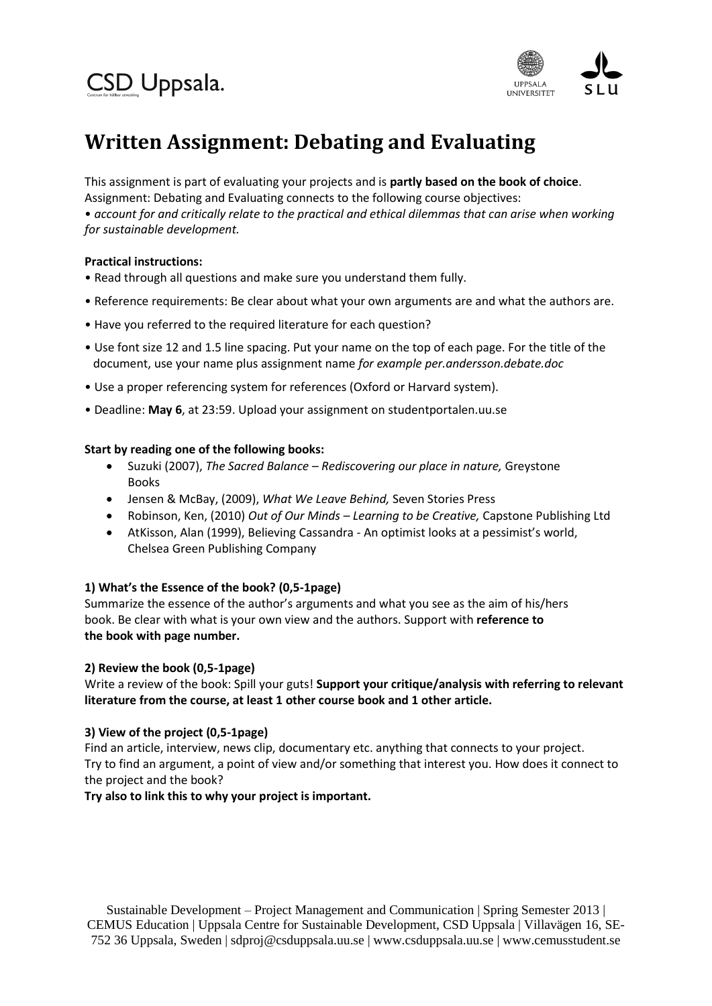# CSD Uppsala.



## **Written Assignment: Debating and Evaluating**

This assignment is part of evaluating your projects and is **partly based on the book of choice**. Assignment: Debating and Evaluating connects to the following course objectives: • *account for and critically relate to the practical and ethical dilemmas that can arise when working for sustainable development.*

#### **Practical instructions:**

- Read through all questions and make sure you understand them fully.
- Reference requirements: Be clear about what your own arguments are and what the authors are.
- Have you referred to the required literature for each question?
- Use font size 12 and 1.5 line spacing. Put your name on the top of each page. For the title of the document, use your name plus assignment name *for example per.andersson.debate.doc*
- Use a proper referencing system for references (Oxford or Harvard system).
- Deadline: **May 6**, at 23:59. Upload your assignment on studentportalen.uu.se

#### **Start by reading one of the following books:**

- Suzuki (2007), *The Sacred Balance – Rediscovering our place in nature,* Greystone Books
- Jensen & McBay, (2009), *What We Leave Behind,* Seven Stories Press
- Robinson, Ken, (2010) *Out of Our Minds – Learning to be Creative,* Capstone Publishing Ltd
- AtKisson, Alan (1999), Believing Cassandra An optimist looks at a pessimist's world, Chelsea Green Publishing Company

#### **1) What's the Essence of the book? (0,5-1page)**

Summarize the essence of the author's arguments and what you see as the aim of his/hers book. Be clear with what is your own view and the authors. Support with **reference to the book with page number.**

#### **2) Review the book (0,5-1page)**

Write a review of the book: Spill your guts! **Support your critique/analysis with referring to relevant literature from the course, at least 1 other course book and 1 other article.**

#### **3) View of the project (0,5-1page)**

Find an article, interview, news clip, documentary etc. anything that connects to your project. Try to find an argument, a point of view and/or something that interest you. How does it connect to the project and the book?

**Try also to link this to why your project is important.**